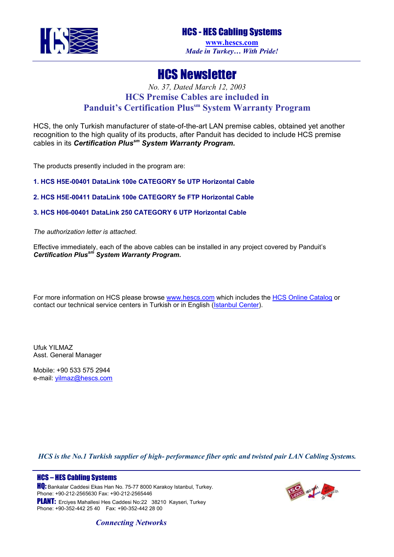

## HCS Newsletter

## *No. 37, Dated March 12, 2003* **HCS Premise Cables are included in Panduit's Certification Plus<sup>sm</sup> System Warranty Program**

HCS, the only Turkish manufacturer of state-of-the-art LAN premise cables, obtained yet another recognition to the high quality of its products, after Panduit has decided to include HCS premise cables in its *Certification Plussm System Warranty Program.* 

The products presently included in the program are:

**1. HCS H5E-00401 DataLink 100e CATEGORY 5e UTP Horizontal Cable** 

**2. HCS H5E-00411 DataLink 100e CATEGORY 5e FTP Horizontal Cable** 

**3. HCS H06-00401 DataLink 250 CATEGORY 6 UTP Horizontal Cable** 

*The authorization letter is attached.* 

Effective immediately, each of the above cables can be installed in any project covered by Panduit's *Certification Plussm System Warranty Program.*

For more information on HCS please browse [www.hescs.com](http://www.hescs.com/) which includes the [HCS Online Catalog](http://www.hescs.com/catalog/index.asp) or contact our technical service centers in Turkish or in English ([Istanbul Center\)](mailto:info@hescs.com).

Ufuk YILMAZ Asst. General Manager

Mobile: +90 533 575 2944 e-mail: *yilmaz@hescs.com* 

*HCS is the No.1 Turkish supplier of high- performance fiber optic and twisted pair LAN Cabling Systems.* 

## HCS – HES Cabling Systems

**HO:** Bankalar Caddesi Ekas Han No. 75-77 8000 Karakoy Istanbul, Turkey. Phone: +90-212-2565630 Fax: +90-212-2565446

PLANT: Ercives Mahallesi Hes Caddesi No:22 38210 Kayseri, Turkey Phone: +90-352-442 25 40 Fax: +90-352-442 28 00



*Connecting Networks*